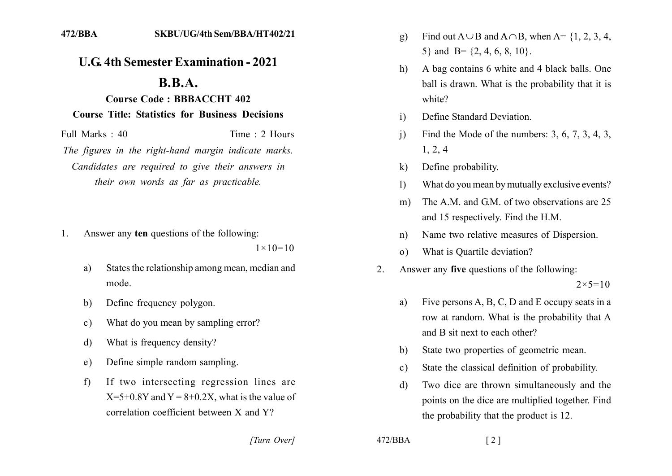## **U.G. 4th Semester Examination - 2021**

## $\mathbf{R} \cdot \mathbf{R} \cdot \mathbf{A}$ .

## **Course Code: BBBACCHT 402 Course Title: Statistics for Business Decisions**

Full Marks  $\cdot$  40 Time  $\cdot$  2 Hours The figures in the right-hand margin indicate marks. Candidates are required to give their answers in their own words as far as practicable.

Answer any ten questions of the following: 1.

 $1 \times 10 = 10$ 

- States the relationship among mean, median and a) mode
- Define frequency polygon.  $b)$
- What do you mean by sampling error?  $\mathbf{c})$
- What is frequency density?  $\mathbf{d}$
- Define simple random sampling.  $e)$
- If two intersecting regression lines are  $f$  $X=5+0.8Y$  and  $Y=8+0.2X$ , what is the value of correlation coefficient between  $X$  and  $Y$ ?
- Find out  $A \cup B$  and  $A \cap B$ , when  $A = \{1, 2, 3, 4,$ g) 5} and B=  $\{2, 4, 6, 8, 10\}$ .
- A bag contains 6 white and 4 black balls. One  $h$ ) ball is drawn. What is the probability that it is white?
- Define Standard Deviation  $\mathbf{i}$
- Find the Mode of the numbers:  $3, 6, 7, 3, 4, 3$ ,  $\overline{1}$  $1, 2, 4$
- Define probability.  $\bf k$
- What do you mean by mutually exclusive events?  $\left| \right\rangle$
- The A M and GM of two observations are 25  $m)$ and 15 respectively. Find the H.M.
- Name two relative measures of Dispersion.  $n)$
- What is Quartile deviation?  $\Omega$ )
- Answer any five questions of the following: 2.  $2 \times 5 = 10$ 
	- Five persons A, B, C, D and E occupy seats in a a) row at random. What is the probability that A and B sit next to each other?
	- State two properties of geometric mean. b)
	- State the classical definition of probability.  $c)$
	- Two dice are thrown simultaneously and the  $\mathbf{d}$ points on the dice are multiplied together. Find the probability that the product is 12.

[Turn Over]

 $472/BBA$ 

 $\lceil 2 \rceil$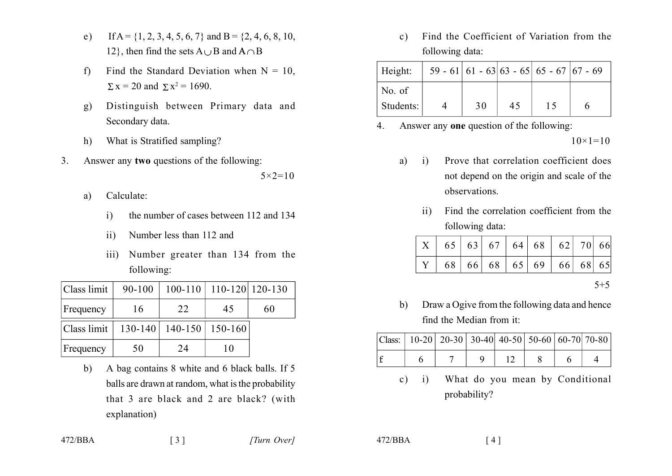- If A = {1, 2, 3, 4, 5, 6, 7} and B = {2, 4, 6, 8, 10,  $e)$ 12, then find the sets  $A \cup B$  and  $A \cap B$
- Find the Standard Deviation when  $N = 10$ ,  $f$  $\Sigma$  x = 20 and  $\Sigma$  x<sup>2</sup> = 1690.
- Distinguish between Primary data and g) Secondary data.
- What is Stratified sampling?  $h)$
- $\overline{3}$ Answer any two questions of the following:

 $5 \times 2 = 10$ 

- Calculate: a)
	- the number of cases between 112 and 134  $\mathbf{i}$
	- Number less than 112 and  $\overline{11}$
	- Number greater than 134 from the  $\overline{111}$ following:

| Class limit | 90-100 |                             | 100-110   110-120   120-130 |    |
|-------------|--------|-----------------------------|-----------------------------|----|
| Frequency   | 16     | 22                          | 45                          | 60 |
| Class limit |        | 130-140   140-150   150-160 |                             |    |
| Frequency   | 50     | 24                          | 10                          |    |

A bag contains 8 white and 6 black balls. If 5  $b)$ balls are drawn at random, what is the probability that 3 are black and 2 are black? (with explanation)

Find the Coefficient of Variation from the  $c)$ following data:

| Height:            |    |    | $59 - 61$   61 - 63  63 - 65  65 - 67  67 - 69 |  |
|--------------------|----|----|------------------------------------------------|--|
| $\mathsf{No}$ . of |    |    |                                                |  |
| Students:          | 30 | 45 | 15                                             |  |

Answer any one question of the following:  $\overline{4}$ 

 $10 \times 1 = 10$ 

- Prove that correlation coefficient does  $a)$  $\mathbf{i}$ not depend on the origin and scale of the observations
	- Find the correlation coefficient from the  $\overline{11}$ following data:

| $\mid X \mid 65 \mid 63 \mid 67 \mid 64 \mid 68 \mid 62 \mid 70 \mid 66$                          |  |  |  |  |
|---------------------------------------------------------------------------------------------------|--|--|--|--|
| $\vert$ Y $\vert$ 68 $\vert$ 66 $\vert$ 68 $\vert$ 65 $\vert$ 69 $\vert$ 66 $\vert$ 68 $\vert$ 65 |  |  |  |  |

 $5 + 5$ 

Draw a Ogive from the following data and hence  $b)$ find the Median from it:

|  | Class:   10-20   20-30   30-40   40-50   50-60   60-70   70-80 |  |  |  |
|--|----------------------------------------------------------------|--|--|--|
|  |                                                                |  |  |  |

What do you mean by Conditional  $c)$  i) probability?

 $472/BBA$